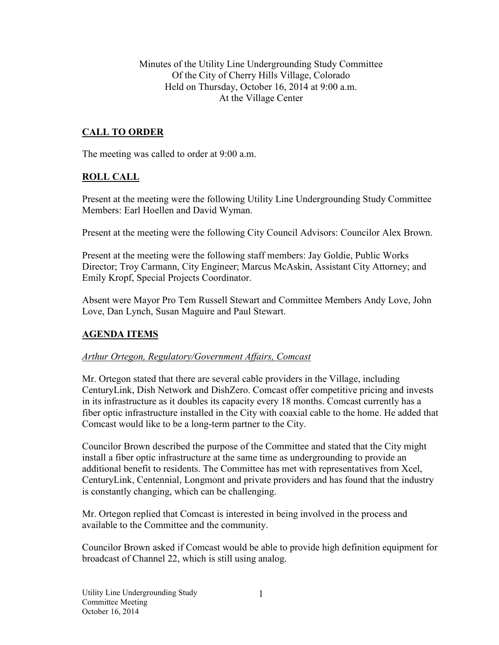Minutes of the Utility Line Undergrounding Study Committee Of the City of Cherry Hills Village, Colorado Held on Thursday, October 16, 2014 at 9:00 a.m. At the Village Center

# **CALL TO ORDER**

The meeting was called to order at 9:00 a.m.

### **ROLL CALL**

Present at the meeting were the following Utility Line Undergrounding Study Committee Members: Earl Hoellen and David Wyman.

Present at the meeting were the following City Council Advisors: Councilor Alex Brown.

Present at the meeting were the following staff members: Jay Goldie, Public Works Director; Troy Carmann, City Engineer; Marcus McAskin, Assistant City Attorney; and Emily Kropf, Special Projects Coordinator.

Absent were Mayor Pro Tem Russell Stewart and Committee Members Andy Love, John Love, Dan Lynch, Susan Maguire and Paul Stewart.

### **AGENDA ITEMS**

#### *Arthur Ortegon, Regulatory/Government Affairs, Comcast*

Mr. Ortegon stated that there are several cable providers in the Village, including CenturyLink, Dish Network and DishZero. Comcast offer competitive pricing and invests in its infrastructure as it doubles its capacity every 18 months. Comcast currently has a fiber optic infrastructure installed in the City with coaxial cable to the home. He added that Comcast would like to be a long-term partner to the City.

Councilor Brown described the purpose of the Committee and stated that the City might install a fiber optic infrastructure at the same time as undergrounding to provide an additional benefit to residents. The Committee has met with representatives from Xcel, CenturyLink, Centennial, Longmont and private providers and has found that the industry is constantly changing, which can be challenging.

Mr. Ortegon replied that Comcast is interested in being involved in the process and available to the Committee and the community.

Councilor Brown asked if Comcast would be able to provide high definition equipment for broadcast of Channel 22, which is still using analog.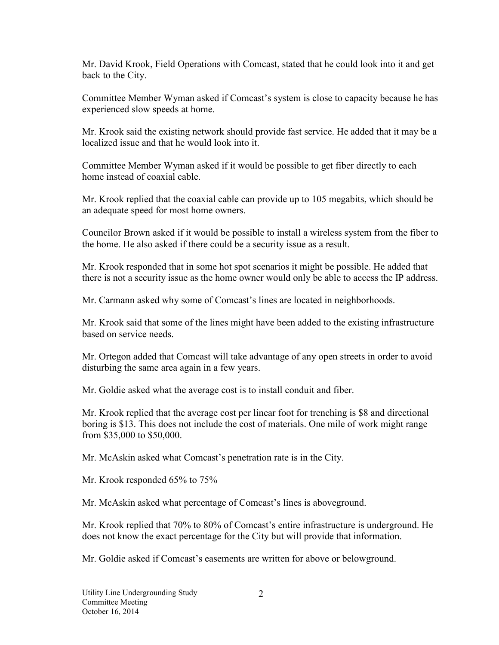Mr. David Krook, Field Operations with Comcast, stated that he could look into it and get back to the City.

Committee Member Wyman asked if Comcast's system is close to capacity because he has experienced slow speeds at home.

Mr. Krook said the existing network should provide fast service. He added that it may be a localized issue and that he would look into it.

Committee Member Wyman asked if it would be possible to get fiber directly to each home instead of coaxial cable.

Mr. Krook replied that the coaxial cable can provide up to 105 megabits, which should be an adequate speed for most home owners.

Councilor Brown asked if it would be possible to install a wireless system from the fiber to the home. He also asked if there could be a security issue as a result.

Mr. Krook responded that in some hot spot scenarios it might be possible. He added that there is not a security issue as the home owner would only be able to access the IP address.

Mr. Carmann asked why some of Comcast's lines are located in neighborhoods.

Mr. Krook said that some of the lines might have been added to the existing infrastructure based on service needs.

Mr. Ortegon added that Comcast will take advantage of any open streets in order to avoid disturbing the same area again in a few years.

Mr. Goldie asked what the average cost is to install conduit and fiber.

Mr. Krook replied that the average cost per linear foot for trenching is \$8 and directional boring is \$13. This does not include the cost of materials. One mile of work might range from \$35,000 to \$50,000.

Mr. McAskin asked what Comcast's penetration rate is in the City.

Mr. Krook responded 65% to 75%

Mr. McAskin asked what percentage of Comcast's lines is aboveground.

Mr. Krook replied that 70% to 80% of Comcast's entire infrastructure is underground. He does not know the exact percentage for the City but will provide that information.

Mr. Goldie asked if Comcast's easements are written for above or belowground.